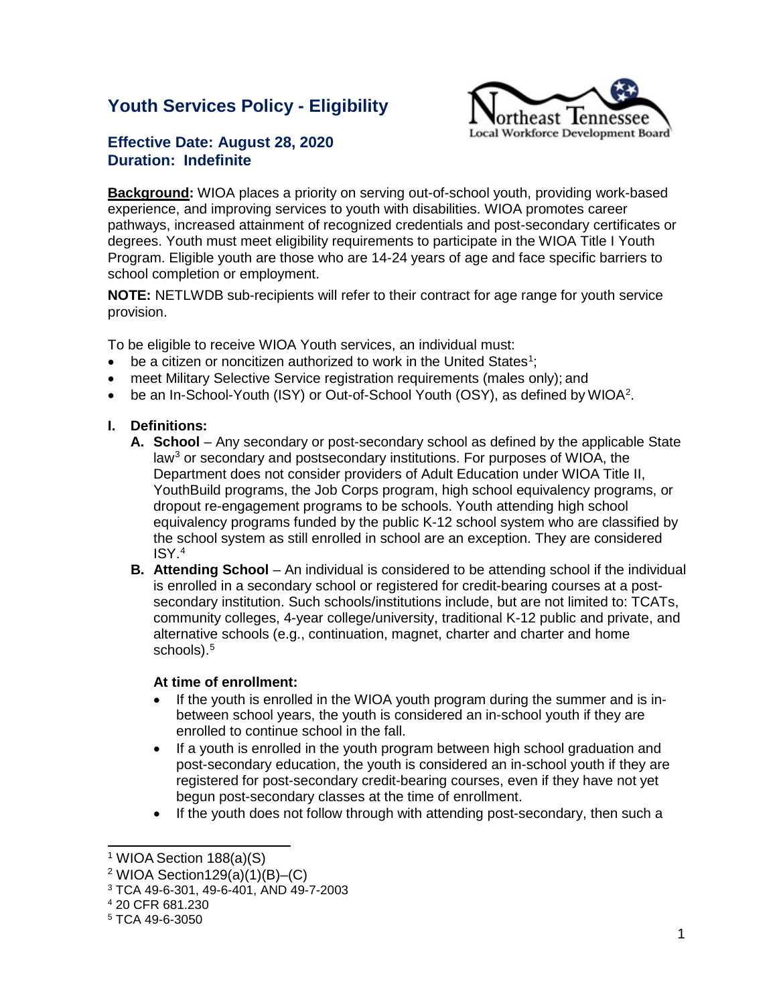# **Youth Services Policy - Eligibility**



# **Effective Date: August 28, 2020 Duration: Indefinite**

**Background:** WIOA places a priority on serving out-of-school youth, providing work-based experience, and improving services to youth with disabilities. WIOA promotes career pathways, increased attainment of recognized credentials and post-secondary certificates or degrees. Youth must meet eligibility requirements to participate in the WIOA Title I Youth Program. Eligible youth are those who are 14-24 years of age and face specific barriers to school completion or employment.

**NOTE:** NETLWDB sub-recipients will refer to their contract for age range for youth service provision.

To be eligible to receive WIOA Youth services, an individual must:

- $\bullet$  be a citizen or noncitizen authorized to work in the United States<sup>[1](#page-0-0)</sup>;
- meet Military Selective Service registration requirements (males only); and
- be an In-School-Youth (ISY) or Out-of-School Youth (OSY), as defined by WIOA<sup>[2](#page-0-1)</sup>.

## **I. Definitions:**

- **A. School**  Any secondary or post-secondary school as defined by the applicable State  $\text{law}^3$  $\text{law}^3$  or secondary and postsecondary institutions. For purposes of WIOA, the Department does not consider providers of Adult Education under WIOA Title II, YouthBuild programs, the Job Corps program, high school equivalency programs, or dropout re-engagement programs to be schools. Youth attending high school equivalency programs funded by the public K-12 school system who are classified by the school system as still enrolled in school are an exception. They are considered ISY.[4](#page-0-3)
- **B.** Attending School An individual is considered to be attending school if the individual is enrolled in a secondary school or registered for credit-bearing courses at a postsecondary institution. Such schools/institutions include, but are not limited to: TCATs, community colleges, 4-year college/university, traditional K-12 public and private, and alternative schools (e.g., continuation, magnet, charter and charter and home schools).<sup>5</sup>

### **At time of enrollment:**

- If the youth is enrolled in the WIOA youth program during the summer and is inbetween school years, the youth is considered an in-school youth if they are enrolled to continue school in the fall.
- If a youth is enrolled in the youth program between high school graduation and post-secondary education, the youth is considered an in-school youth if they are registered for post-secondary credit-bearing courses, even if they have not yet begun post-secondary classes at the time of enrollment.
- If the youth does not follow through with attending post-secondary, then such a

<span id="page-0-0"></span> <sup>1</sup> WIOA Section 188(a)(S)

<span id="page-0-1"></span><sup>2</sup> WIOA Section129(a)(1)(B)–(C)

<span id="page-0-2"></span><sup>3</sup> TCA 49-6-301, 49-6-401, AND 49-7-2003

<span id="page-0-3"></span><sup>4</sup> 20 CFR 681.230

<span id="page-0-4"></span><sup>5</sup> TCA 49-6-3050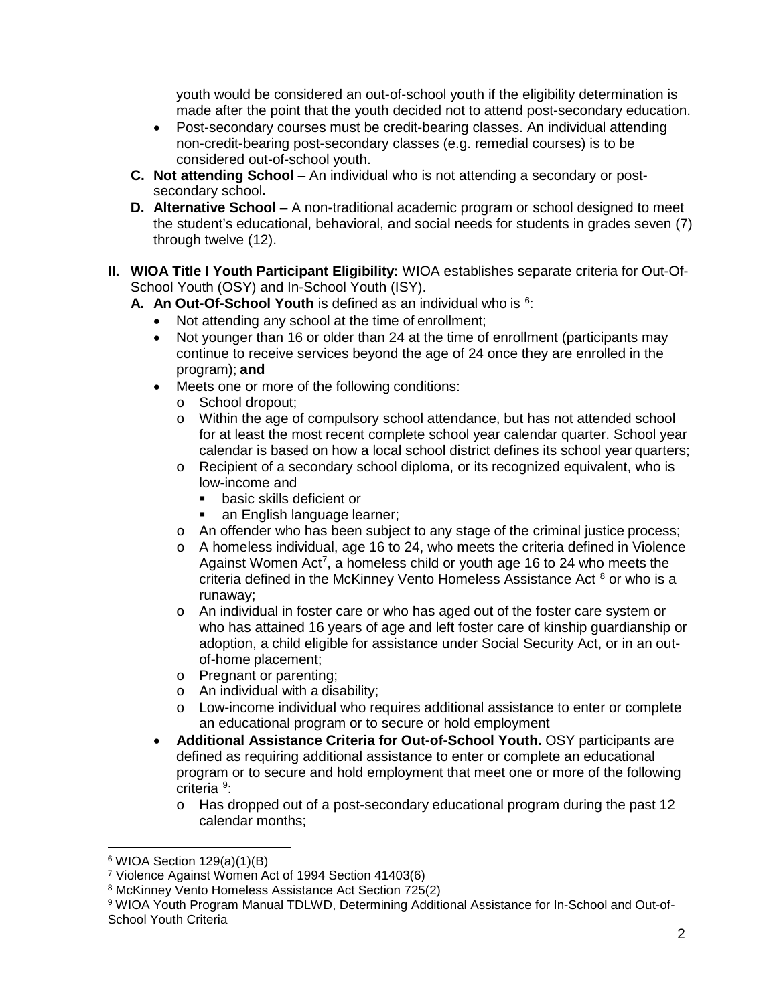youth would be considered an out-of-school youth if the eligibility determination is made after the point that the youth decided not to attend post-secondary education.

- Post-secondary courses must be credit-bearing classes. An individual attending non-credit-bearing post-secondary classes (e.g. remedial courses) is to be considered out-of-school youth.
- **C.** Not attending School An individual who is not attending a secondary or postsecondary school**.**
- **D.** Alternative School A non-traditional academic program or school designed to meet the student's educational, behavioral, and social needs for students in grades seven (7) through twelve (12).
- **II. WIOA Title I Youth Participant Eligibility:** WIOA establishes separate criteria for Out-Of-School Youth (OSY) and In-School Youth (ISY).
	- A. An Out-Of-School Youth is defined as an individual who is <sup>[6](#page-1-0)</sup>:
		- Not attending any school at the time of enrollment;
		- Not younger than 16 or older than 24 at the time of enrollment (participants may continue to receive services beyond the age of 24 once they are enrolled in the program); **and**
		- Meets one or more of the following conditions:
			- o School dropout;
			- o Within the age of compulsory school attendance, but has not attended school for at least the most recent complete school year calendar quarter. School year calendar is based on how a local school district defines its school year quarters;
			- o Recipient of a secondary school diploma, or its recognized equivalent, who is low-income and
				- basic skills deficient or
				- an English language learner;
			- o An offender who has been subject to any stage of the criminal justice process;
			- $\circ$  A homeless individual, age 16 to 24, who meets the criteria defined in Violence Against Women Act<sup>[7](#page-1-1)</sup>, a homeless child or youth age 16 to 24 who meets the criteria defined in the McKinney Vento Homeless Assistance Act <sup>[8](#page-1-2)</sup> or who is a runaway;
			- o An individual in foster care or who has aged out of the foster care system or who has attained 16 years of age and left foster care of kinship guardianship or adoption, a child eligible for assistance under Social Security Act, or in an outof-home placement;
			- o Pregnant or parenting;
			- o An individual with a disability;
			- o Low-income individual who requires additional assistance to enter or complete an educational program or to secure or hold employment
		- **Additional Assistance Criteria for Out-of-School Youth.** OSY participants are defined as requiring additional assistance to enter or complete an educational program or to secure and hold employment that meet one or more of the following criteria <sup>[9](#page-1-3)</sup>:
			- $\circ$  Has dropped out of a post-secondary educational program during the past 12 calendar months;

<span id="page-1-0"></span> <sup>6</sup> WIOA Section 129(a)(1)(B)

<span id="page-1-1"></span><sup>7</sup> Violence Against Women Act of 1994 Section 41403(6)

<span id="page-1-2"></span><sup>8</sup> McKinney Vento Homeless Assistance Act Section 725(2)

<span id="page-1-3"></span><sup>9</sup> WIOA Youth Program Manual TDLWD, Determining Additional Assistance for In-School and Out-of-School Youth Criteria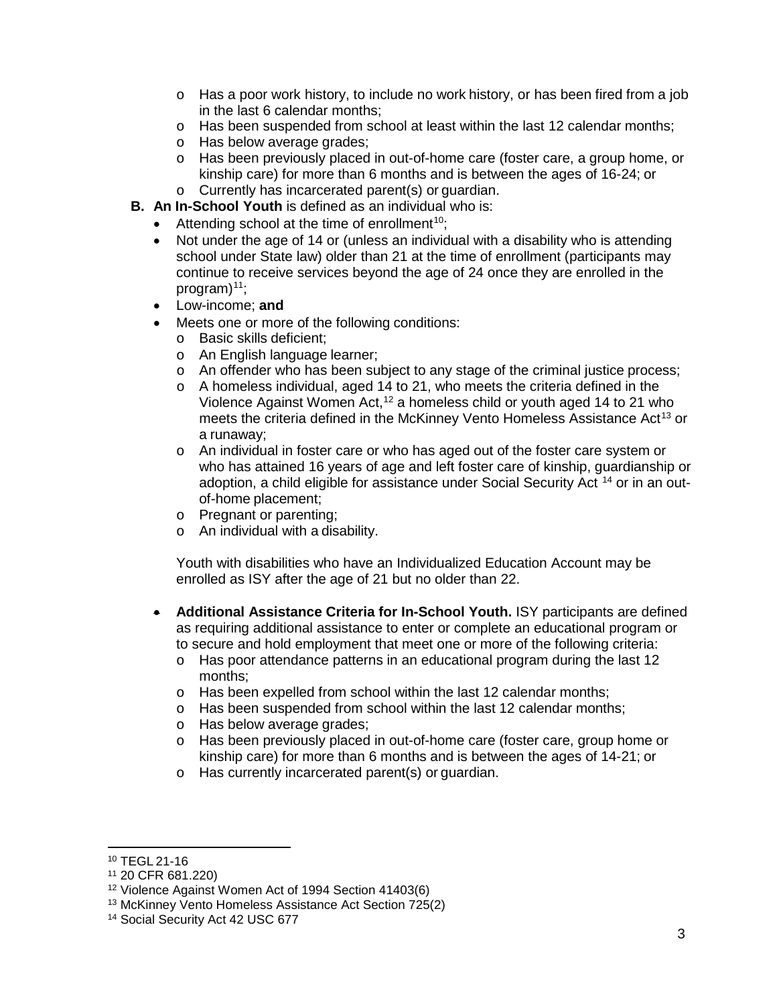- $\circ$  Has a poor work history, to include no work history, or has been fired from a job in the last 6 calendar months;
- $\circ$  Has been suspended from school at least within the last 12 calendar months;
- o Has below average grades;
- o Has been previously placed in out-of-home care (foster care, a group home, or kinship care) for more than 6 months and is between the ages of 16-24; or o Currently has incarcerated parent(s) or guardian.
- **B. An In-School Youth** is defined as an individual who is:
	- Attending school at the time of enrollment<sup>10</sup>;
	- Not under the age of 14 or (unless an individual with a disability who is attending school under State law) older than 21 at the time of enrollment (participants may continue to receive services beyond the age of 24 once they are enrolled in the program $)^{11}$ ;
	- Low-income; **and**
	- Meets one or more of the following conditions:
		- o Basic skills deficient;
		- o An English language learner;
		- o An offender who has been subject to any stage of the criminal justice process;
		- $\circ$  A homeless individual, aged 14 to 21, who meets the criteria defined in the Violence Against Women Act, [12](#page-2-2) a homeless child or youth aged 14 to 21 who meets the criteria defined in the McKinney Vento Homeless Assistance Act<sup>[13](#page-2-3)</sup> or a runaway;
		- o An individual in foster care or who has aged out of the foster care system or who has attained 16 years of age and left foster care of kinship, guardianship or adoption, a child eligible for assistance under Social Security Act<sup>[14](#page-2-4)</sup> or in an outof-home placement;
		- o Pregnant or parenting;
		- o An individual with a disability.

Youth with disabilities who have an Individualized Education Account may be enrolled as ISY after the age of 21 but no older than 22.

- **Additional Assistance Criteria for In-School Youth.** ISY participants are defined as requiring additional assistance to enter or complete an educational program or to secure and hold employment that meet one or more of the following criteria:
	- $\circ$  Has poor attendance patterns in an educational program during the last 12 months;
	- o Has been expelled from school within the last 12 calendar months;
	- o Has been suspended from school within the last 12 calendar months;
	- o Has below average grades;
	- o Has been previously placed in out-of-home care (foster care, group home or kinship care) for more than 6 months and is between the ages of 14-21; or
	- o Has currently incarcerated parent(s) or guardian.

<span id="page-2-0"></span> <sup>10</sup> TEGL 21-16

<span id="page-2-1"></span><sup>11</sup> 20 CFR 681.220)

<span id="page-2-2"></span><sup>12</sup> Violence Against Women Act of 1994 Section 41403(6)

<span id="page-2-3"></span><sup>13</sup> McKinney Vento Homeless Assistance Act Section 725(2)

<span id="page-2-4"></span><sup>14</sup> Social Security Act 42 USC 677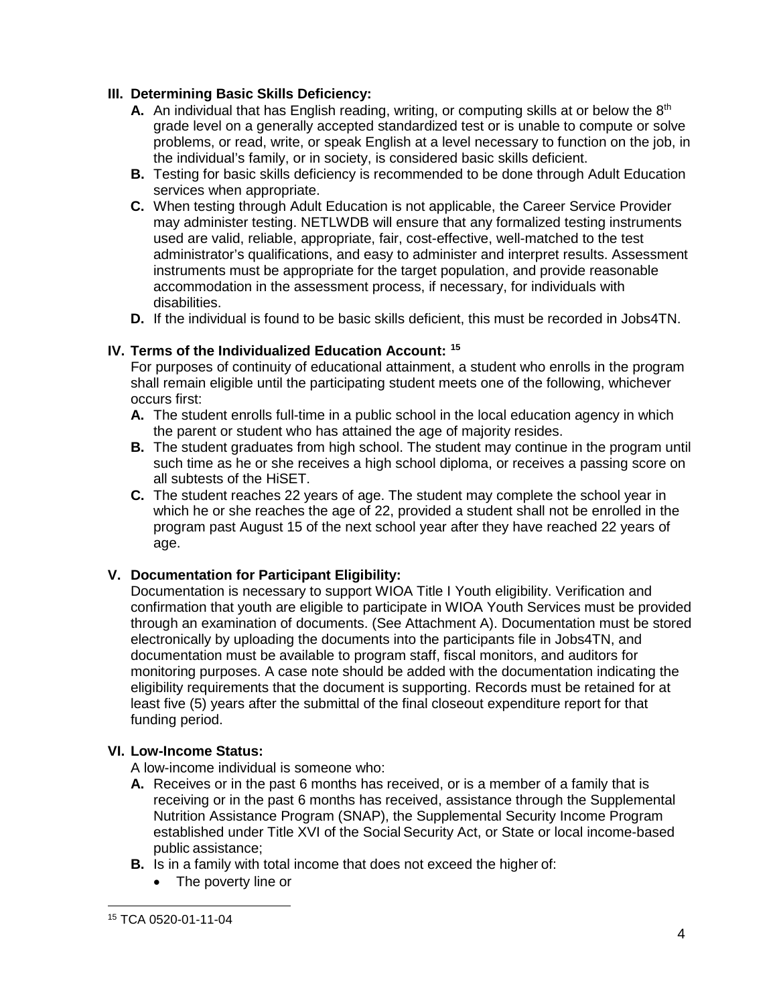## **III. Determining Basic Skills Deficiency:**

- **A.** An individual that has English reading, writing, or computing skills at or below the 8<sup>th</sup> grade level on a generally accepted standardized test or is unable to compute or solve problems, or read, write, or speak English at a level necessary to function on the job, in the individual's family, or in society, is considered basic skills deficient.
- **B.** Testing for basic skills deficiency is recommended to be done through Adult Education services when appropriate.
- **C.** When testing through Adult Education is not applicable, the Career Service Provider may administer testing. NETLWDB will ensure that any formalized testing instruments used are valid, reliable, appropriate, fair, cost-effective, well-matched to the test administrator's qualifications, and easy to administer and interpret results. Assessment instruments must be appropriate for the target population, and provide reasonable accommodation in the assessment process, if necessary, for individuals with disabilities.
- **D.** If the individual is found to be basic skills deficient, this must be recorded in Jobs4TN.

## **IV. Terms of the Individualized Education Account: [15](#page-3-0)**

For purposes of continuity of educational attainment, a student who enrolls in the program shall remain eligible until the participating student meets one of the following, whichever occurs first:

- **A.** The student enrolls full-time in a public school in the local education agency in which the parent or student who has attained the age of majority resides.
- **B.** The student graduates from high school. The student may continue in the program until such time as he or she receives a high school diploma, or receives a passing score on all subtests of the HiSET.
- **C.** The student reaches 22 years of age. The student may complete the school year in which he or she reaches the age of 22, provided a student shall not be enrolled in the program past August 15 of the next school year after they have reached 22 years of age.

# **V. Documentation for Participant Eligibility:**

Documentation is necessary to support WIOA Title I Youth eligibility. Verification and confirmation that youth are eligible to participate in WIOA Youth Services must be provided through an examination of documents. (See Attachment A). Documentation must be stored electronically by uploading the documents into the participants file in Jobs4TN, and documentation must be available to program staff, fiscal monitors, and auditors for monitoring purposes. A case note should be added with the documentation indicating the eligibility requirements that the document is supporting. Records must be retained for at least five (5) years after the submittal of the final closeout expenditure report for that funding period.

# **VI. Low-Income Status:**

- A low-income individual is someone who:
- **A.** Receives or in the past 6 months has received, or is a member of a family that is receiving or in the past 6 months has received, assistance through the Supplemental Nutrition Assistance Program (SNAP), the Supplemental Security Income Program established under Title XVI of the Social Security Act, or State or local income-based public assistance;
- **B.** Is in a family with total income that does not exceed the higher of:
	- The poverty line or

<span id="page-3-0"></span> <sup>15</sup> TCA 0520-01-11-04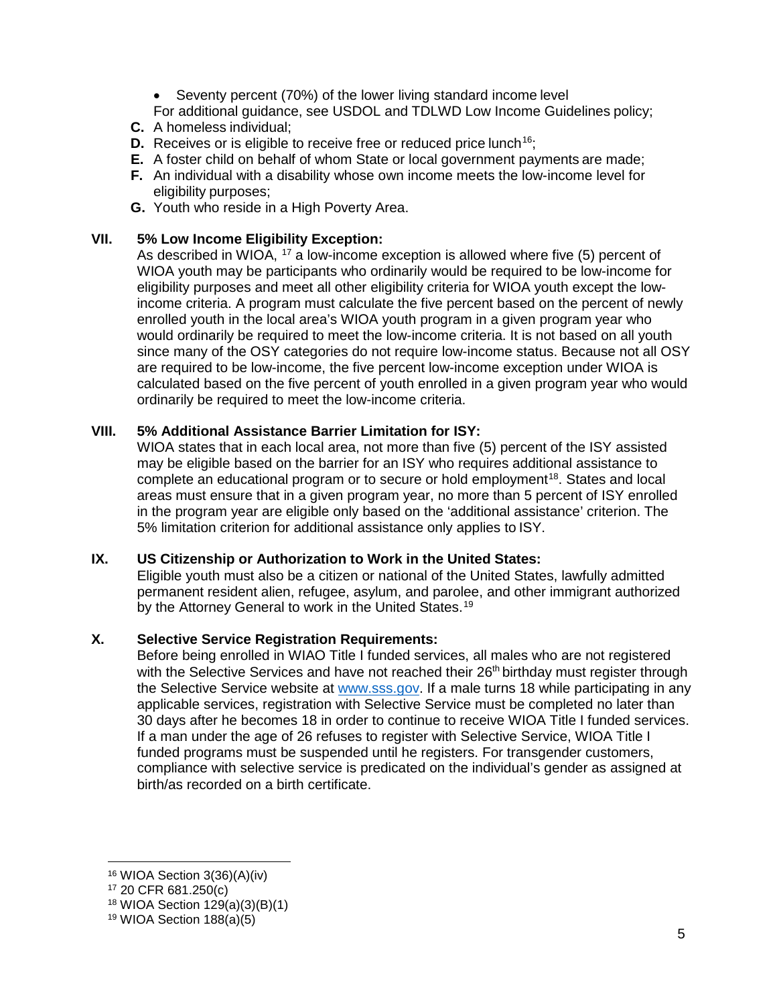• Seventy percent (70%) of the lower living standard income level For additional guidance, see USDOL and TDLWD Low Income Guidelines policy;

- **C.** A homeless individual;
- **D.** Receives or is eligible to receive free or reduced price lunch<sup>[16](#page-4-0)</sup>;
- **E.** A foster child on behalf of whom State or local government payments are made;
- **F.** An individual with a disability whose own income meets the low-income level for eligibility purposes;
- **G.** Youth who reside in a High Poverty Area.

## **VII. 5% Low Income Eligibility Exception:**

As described in WIOA,  $17$  a low-income exception is allowed where five (5) percent of WIOA youth may be participants who ordinarily would be required to be low-income for eligibility purposes and meet all other eligibility criteria for WIOA youth except the lowincome criteria. A program must calculate the five percent based on the percent of newly enrolled youth in the local area's WIOA youth program in a given program year who would ordinarily be required to meet the low-income criteria. It is not based on all youth since many of the OSY categories do not require low-income status. Because not all OSY are required to be low-income, the five percent low-income exception under WIOA is calculated based on the five percent of youth enrolled in a given program year who would ordinarily be required to meet the low-income criteria.

### **VIII. 5% Additional Assistance Barrier Limitation for ISY:**

WIOA states that in each local area, not more than five (5) percent of the ISY assisted may be eligible based on the barrier for an ISY who requires additional assistance to complete an educational program or to secure or hold employment<sup>18</sup>. States and local areas must ensure that in a given program year, no more than 5 percent of ISY enrolled in the program year are eligible only based on the 'additional assistance' criterion. The 5% limitation criterion for additional assistance only applies to ISY.

### **IX. US Citizenship or Authorization to Work in the United States:**

Eligible youth must also be a citizen or national of the United States, lawfully admitted permanent resident alien, refugee, asylum, and parolee, and other immigrant authorized by the Attorney General to work in the United States.<sup>[19](#page-4-3)</sup>

### **X. Selective Service Registration Requirements:**

Before being enrolled in WIAO Title I funded services, all males who are not registered with the Selective Services and have not reached their 26<sup>th</sup> birthday must register through the Selective Service website at [www.sss.gov.](http://www.sss.gov/) If a male turns 18 while participating in any applicable services, registration with Selective Service must be completed no later than 30 days after he becomes 18 in order to continue to receive WIOA Title I funded services. If a man under the age of 26 refuses to register with Selective Service, WIOA Title I funded programs must be suspended until he registers. For transgender customers, compliance with selective service is predicated on the individual's gender as assigned at birth/as recorded on a birth certificate.

<span id="page-4-0"></span> <sup>16</sup> WIOA Section 3(36)(A)(iv)

<span id="page-4-1"></span><sup>17</sup> 20 CFR 681.250(c)

<span id="page-4-2"></span><sup>18</sup> WIOA Section 129(a)(3)(B)(1)

<span id="page-4-3"></span><sup>19</sup> WIOA Section 188(a)(5)